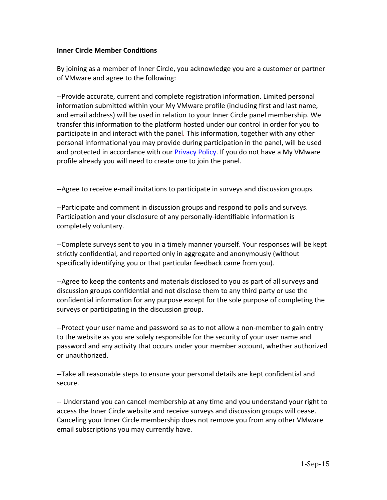## **Inner Circle Member Conditions**

By joining as a member of Inner Circle, you acknowledge you are a customer or partner of VMware and agree to the following:

--Provide accurate, current and complete registration information. Limited personal information submitted within your My VMware profile (including first and last name, and email address) will be used in relation to your Inner Circle panel membership. We transfer this information to the platform hosted under our control in order for you to participate in and interact with the panel. This information, together with any other personal informational you may provide during participation in the panel, will be used and protected in accordance with our Privacy Policy. If you do not have a My VMware profile already you will need to create one to join the panel.

--Agree to receive e-mail invitations to participate in surveys and discussion groups.

--Participate and comment in discussion groups and respond to polls and surveys. Participation and your disclosure of any personally-identifiable information is completely voluntary.

--Complete surveys sent to you in a timely manner yourself. Your responses will be kept strictly confidential, and reported only in aggregate and anonymously (without specifically identifying you or that particular feedback came from you).

--Agree to keep the contents and materials disclosed to you as part of all surveys and discussion groups confidential and not disclose them to any third party or use the confidential information for any purpose except for the sole purpose of completing the surveys or participating in the discussion group.

--Protect your user name and password so as to not allow a non-member to gain entry to the website as you are solely responsible for the security of your user name and password and any activity that occurs under your member account, whether authorized or unauthorized. 

--Take all reasonable steps to ensure your personal details are kept confidential and secure. 

-- Understand you can cancel membership at any time and you understand your right to access the Inner Circle website and receive surveys and discussion groups will cease. Canceling your Inner Circle membership does not remove you from any other VMware email subscriptions you may currently have.